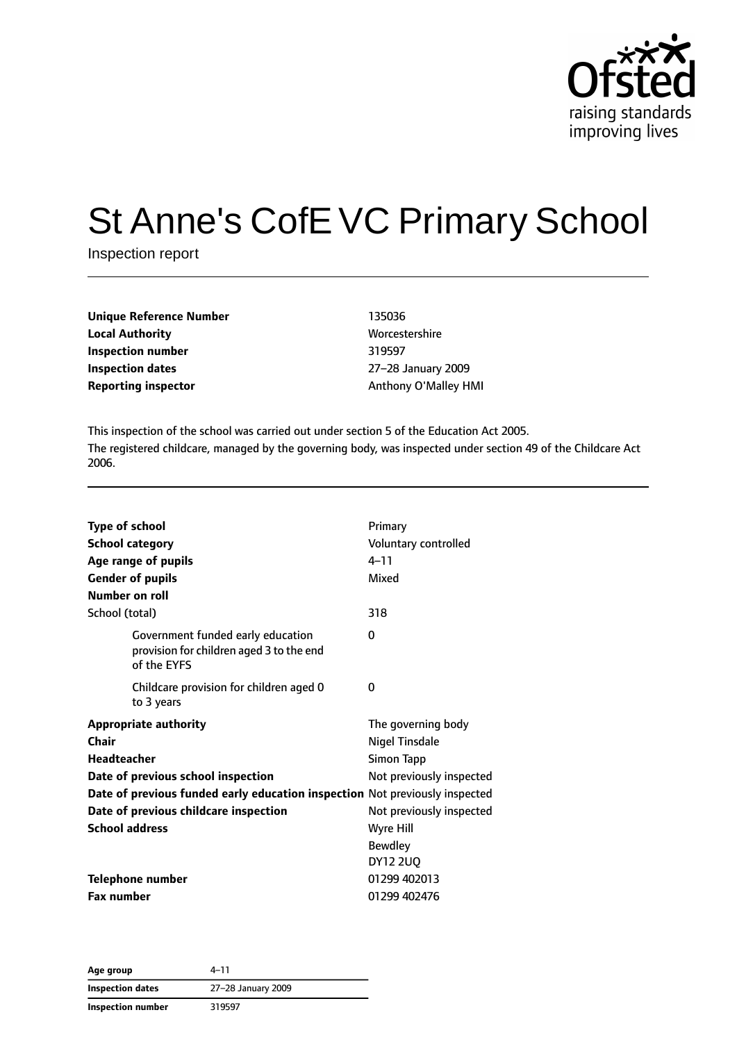

# St Anne's CofE VC Primary School

Inspection report

| <b>Unique Reference Number</b> | 135036               |
|--------------------------------|----------------------|
| <b>Local Authority</b>         | Worcestershire       |
| Inspection number              | 319597               |
| Inspection dates               | 27-28 January 2009   |
| <b>Reporting inspector</b>     | Anthony O'Malley HMI |

**Worcestershire Inspection dates** 27–28 January 2009

This inspection of the school was carried out under section 5 of the Education Act 2005. The registered childcare, managed by the governing body, was inspected under section 49 of the Childcare Act 2006.

| <b>Type of school</b> |                                                                                              | Primary                  |
|-----------------------|----------------------------------------------------------------------------------------------|--------------------------|
|                       | <b>School category</b>                                                                       | Voluntary controlled     |
|                       | Age range of pupils                                                                          | $4 - 11$                 |
|                       | <b>Gender of pupils</b>                                                                      | Mixed                    |
| Number on roll        |                                                                                              |                          |
| School (total)        |                                                                                              | 318                      |
|                       | Government funded early education<br>provision for children aged 3 to the end<br>of the EYFS | 0                        |
|                       | Childcare provision for children aged 0<br>to 3 years                                        | 0                        |
|                       | <b>Appropriate authority</b>                                                                 | The governing body       |
| Chair                 |                                                                                              | <b>Nigel Tinsdale</b>    |
| Headteacher           |                                                                                              | <b>Simon Tapp</b>        |
|                       | Date of previous school inspection                                                           | Not previously inspected |
|                       | Date of previous funded early education inspection Not previously inspected                  |                          |
|                       | Date of previous childcare inspection                                                        | Not previously inspected |
| <b>School address</b> |                                                                                              | Wyre Hill                |
|                       |                                                                                              | <b>Bewdley</b>           |
|                       |                                                                                              | <b>DY12 2UQ</b>          |
|                       | <b>Telephone number</b>                                                                      | 01299 402013             |
| <b>Fax number</b>     |                                                                                              | 01299 402476             |

**Age group** 4–11 **Inspection dates** 27–28 January 2009 **Inspection number** 319597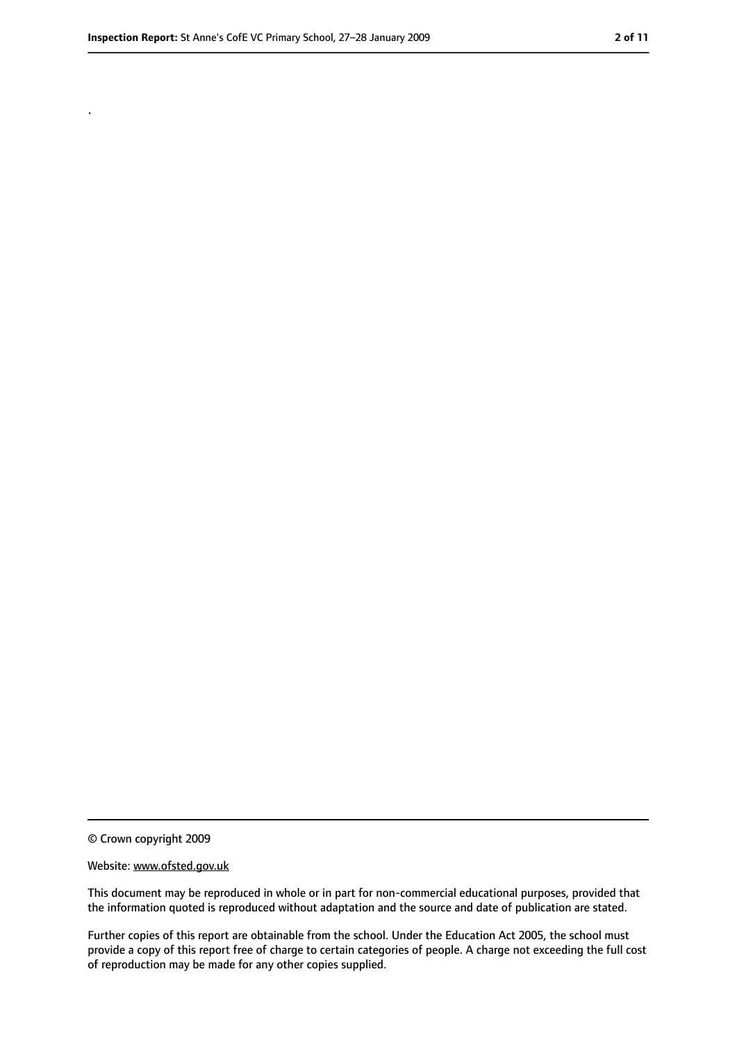.

<sup>©</sup> Crown copyright 2009

Website: www.ofsted.gov.uk

This document may be reproduced in whole or in part for non-commercial educational purposes, provided that the information quoted is reproduced without adaptation and the source and date of publication are stated.

Further copies of this report are obtainable from the school. Under the Education Act 2005, the school must provide a copy of this report free of charge to certain categories of people. A charge not exceeding the full cost of reproduction may be made for any other copies supplied.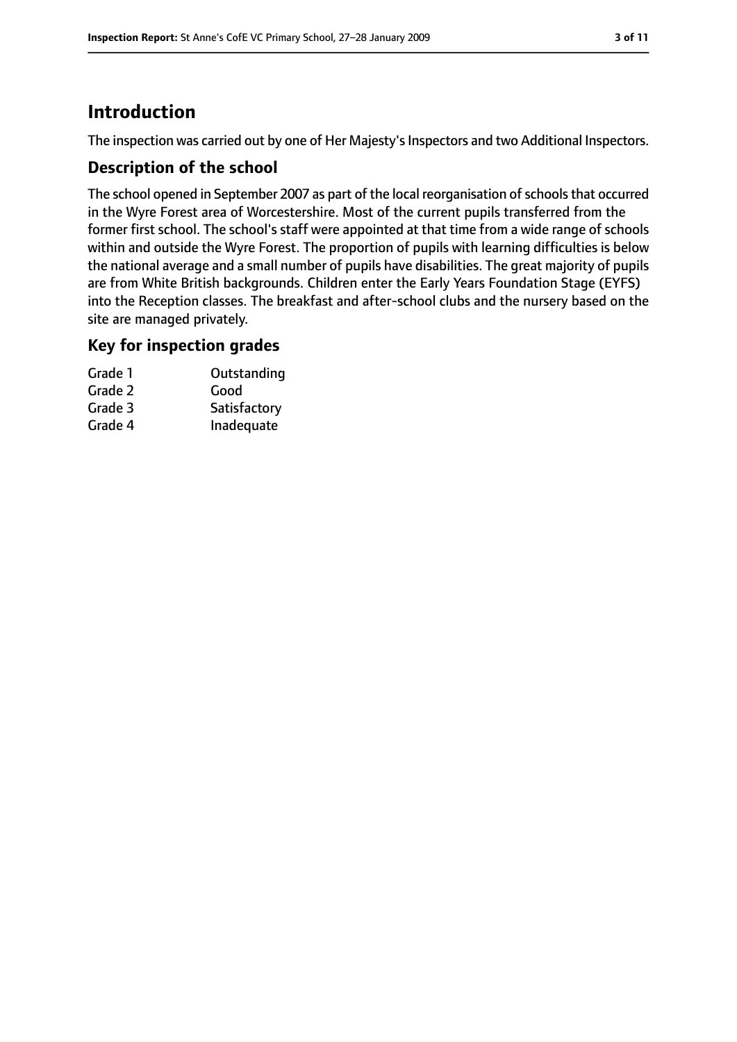# **Introduction**

The inspection was carried out by one of Her Majesty's Inspectors and two Additional Inspectors.

## **Description of the school**

The school opened in September 2007 as part of the local reorganisation of schools that occurred in the Wyre Forest area of Worcestershire. Most of the current pupils transferred from the former first school. The school's staff were appointed at that time from a wide range of schools within and outside the Wyre Forest. The proportion of pupils with learning difficulties is below the national average and a small number of pupils have disabilities. The great majority of pupils are from White British backgrounds. Children enter the Early Years Foundation Stage (EYFS) into the Reception classes. The breakfast and after-school clubs and the nursery based on the site are managed privately.

## **Key for inspection grades**

| Grade 1 | Outstanding  |
|---------|--------------|
| Grade 2 | Good         |
| Grade 3 | Satisfactory |
| Grade 4 | Inadequate   |
|         |              |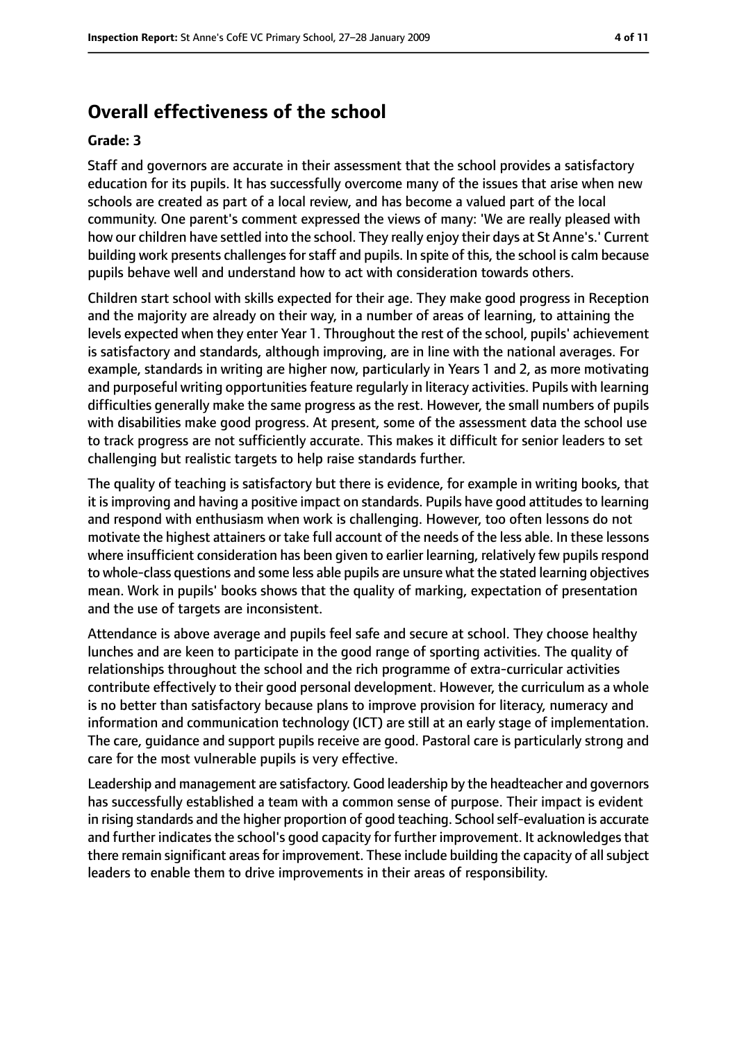# **Overall effectiveness of the school**

#### **Grade: 3**

Staff and governors are accurate in their assessment that the school provides a satisfactory education for its pupils. It has successfully overcome many of the issues that arise when new schools are created as part of a local review, and has become a valued part of the local community. One parent's comment expressed the views of many: 'We are really pleased with how our children have settled into the school. They really enjoy their days at St Anne's.' Current building work presents challenges for staff and pupils. In spite of this, the school is calm because pupils behave well and understand how to act with consideration towards others.

Children start school with skills expected for their age. They make good progress in Reception and the majority are already on their way, in a number of areas of learning, to attaining the levels expected when they enter Year 1. Throughout the rest of the school, pupils' achievement is satisfactory and standards, although improving, are in line with the national averages. For example, standards in writing are higher now, particularly in Years 1 and 2, as more motivating and purposeful writing opportunities feature regularly in literacy activities. Pupils with learning difficulties generally make the same progress as the rest. However, the small numbers of pupils with disabilities make good progress. At present, some of the assessment data the school use to track progress are not sufficiently accurate. This makes it difficult for senior leaders to set challenging but realistic targets to help raise standards further.

The quality of teaching is satisfactory but there is evidence, for example in writing books, that it is improving and having a positive impact on standards. Pupils have good attitudes to learning and respond with enthusiasm when work is challenging. However, too often lessons do not motivate the highest attainers or take full account of the needs of the less able. In these lessons where insufficient consideration has been given to earlier learning, relatively few pupils respond to whole-class questions and some less able pupils are unsure what the stated learning objectives mean. Work in pupils' books shows that the quality of marking, expectation of presentation and the use of targets are inconsistent.

Attendance is above average and pupils feel safe and secure at school. They choose healthy lunches and are keen to participate in the good range of sporting activities. The quality of relationships throughout the school and the rich programme of extra-curricular activities contribute effectively to their good personal development. However, the curriculum as a whole is no better than satisfactory because plans to improve provision for literacy, numeracy and information and communication technology (ICT) are still at an early stage of implementation. The care, guidance and support pupils receive are good. Pastoral care is particularly strong and care for the most vulnerable pupils is very effective.

Leadership and management are satisfactory. Good leadership by the headteacher and governors has successfully established a team with a common sense of purpose. Their impact is evident in rising standards and the higher proportion of good teaching. School self-evaluation is accurate and further indicates the school's good capacity for further improvement. It acknowledges that there remain significant areas for improvement. These include building the capacity of all subject leaders to enable them to drive improvements in their areas of responsibility.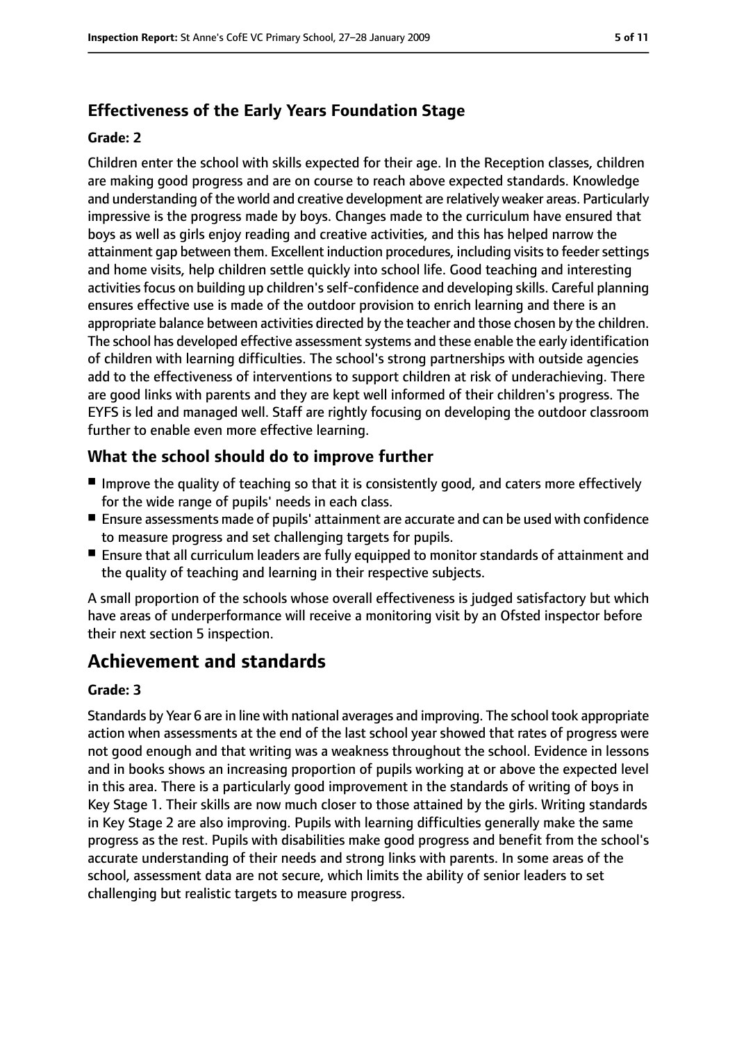# **Effectiveness of the Early Years Foundation Stage**

#### **Grade: 2**

Children enter the school with skills expected for their age. In the Reception classes, children are making good progress and are on course to reach above expected standards. Knowledge and understanding of the world and creative development are relatively weaker areas. Particularly impressive is the progress made by boys. Changes made to the curriculum have ensured that boys as well as girls enjoy reading and creative activities, and this has helped narrow the attainment gap between them. Excellent induction procedures, including visits to feeder settings and home visits, help children settle quickly into school life. Good teaching and interesting activities focus on building up children's self-confidence and developing skills. Careful planning ensures effective use is made of the outdoor provision to enrich learning and there is an appropriate balance between activities directed by the teacher and those chosen by the children. The school has developed effective assessment systems and these enable the early identification of children with learning difficulties. The school's strong partnerships with outside agencies add to the effectiveness of interventions to support children at risk of underachieving. There are good links with parents and they are kept well informed of their children's progress. The EYFS is led and managed well. Staff are rightly focusing on developing the outdoor classroom further to enable even more effective learning.

## **What the school should do to improve further**

- Improve the quality of teaching so that it is consistently good, and caters more effectively for the wide range of pupils' needs in each class.
- Ensure assessments made of pupils' attainment are accurate and can be used with confidence to measure progress and set challenging targets for pupils.
- Ensure that all curriculum leaders are fully equipped to monitor standards of attainment and the quality of teaching and learning in their respective subjects.

A small proportion of the schools whose overall effectiveness is judged satisfactory but which have areas of underperformance will receive a monitoring visit by an Ofsted inspector before their next section 5 inspection.

# **Achievement and standards**

## **Grade: 3**

Standards by Year 6 are in line with national averages and improving. The school took appropriate action when assessments at the end of the last school year showed that rates of progress were not good enough and that writing was a weakness throughout the school. Evidence in lessons and in books shows an increasing proportion of pupils working at or above the expected level in this area. There is a particularly good improvement in the standards of writing of boys in Key Stage 1. Their skills are now much closer to those attained by the girls. Writing standards in Key Stage 2 are also improving. Pupils with learning difficulties generally make the same progress as the rest. Pupils with disabilities make good progress and benefit from the school's accurate understanding of their needs and strong links with parents. In some areas of the school, assessment data are not secure, which limits the ability of senior leaders to set challenging but realistic targets to measure progress.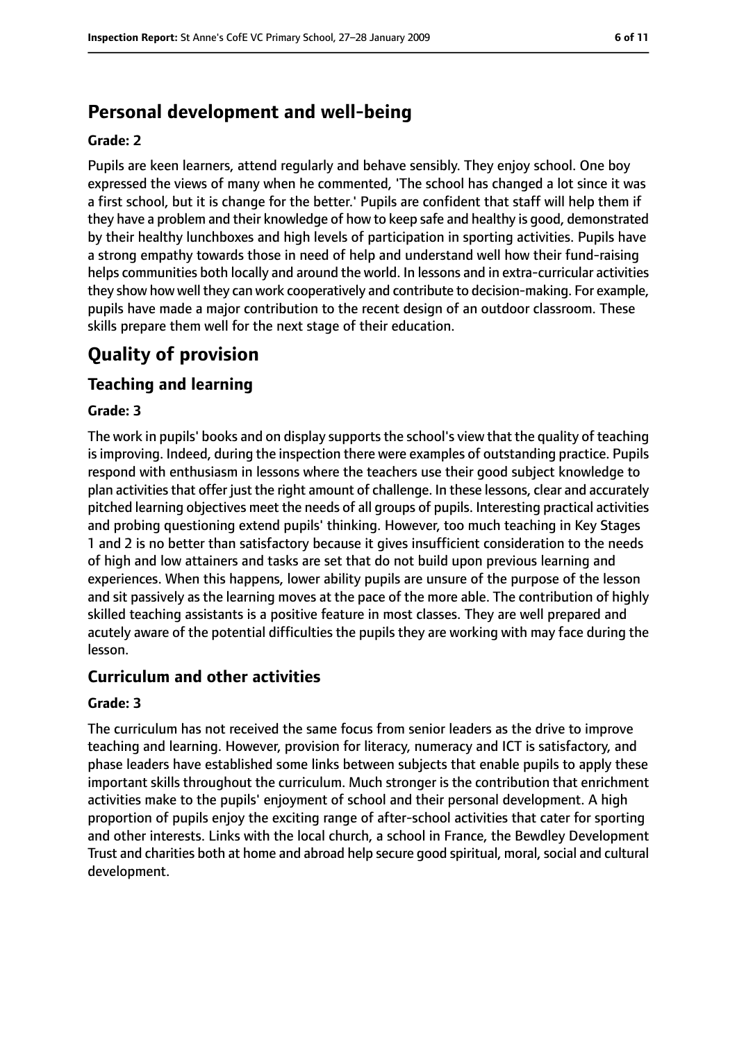# **Personal development and well-being**

#### **Grade: 2**

Pupils are keen learners, attend regularly and behave sensibly. They enjoy school. One boy expressed the views of many when he commented, 'The school has changed a lot since it was a first school, but it is change for the better.' Pupils are confident that staff will help them if they have a problem and their knowledge of how to keep safe and healthy is good, demonstrated by their healthy lunchboxes and high levels of participation in sporting activities. Pupils have a strong empathy towards those in need of help and understand well how their fund-raising helps communities both locally and around the world. In lessons and in extra-curricular activities they show how well they can work cooperatively and contribute to decision-making. For example, pupils have made a major contribution to the recent design of an outdoor classroom. These skills prepare them well for the next stage of their education.

# **Quality of provision**

## **Teaching and learning**

#### **Grade: 3**

The work in pupils' books and on display supports the school's view that the quality of teaching isimproving. Indeed, during the inspection there were examples of outstanding practice. Pupils respond with enthusiasm in lessons where the teachers use their good subject knowledge to plan activitiesthat offer just the right amount of challenge. In these lessons, clear and accurately pitched learning objectives meet the needs of all groups of pupils. Interesting practical activities and probing questioning extend pupils' thinking. However, too much teaching in Key Stages 1 and 2 is no better than satisfactory because it gives insufficient consideration to the needs of high and low attainers and tasks are set that do not build upon previous learning and experiences. When this happens, lower ability pupils are unsure of the purpose of the lesson and sit passively as the learning moves at the pace of the more able. The contribution of highly skilled teaching assistants is a positive feature in most classes. They are well prepared and acutely aware of the potential difficulties the pupils they are working with may face during the lesson.

## **Curriculum and other activities**

#### **Grade: 3**

The curriculum has not received the same focus from senior leaders as the drive to improve teaching and learning. However, provision for literacy, numeracy and ICT is satisfactory, and phase leaders have established some links between subjects that enable pupils to apply these important skills throughout the curriculum. Much stronger is the contribution that enrichment activities make to the pupils' enjoyment of school and their personal development. A high proportion of pupils enjoy the exciting range of after-school activities that cater for sporting and other interests. Links with the local church, a school in France, the Bewdley Development Trust and charities both at home and abroad help secure good spiritual, moral, social and cultural development.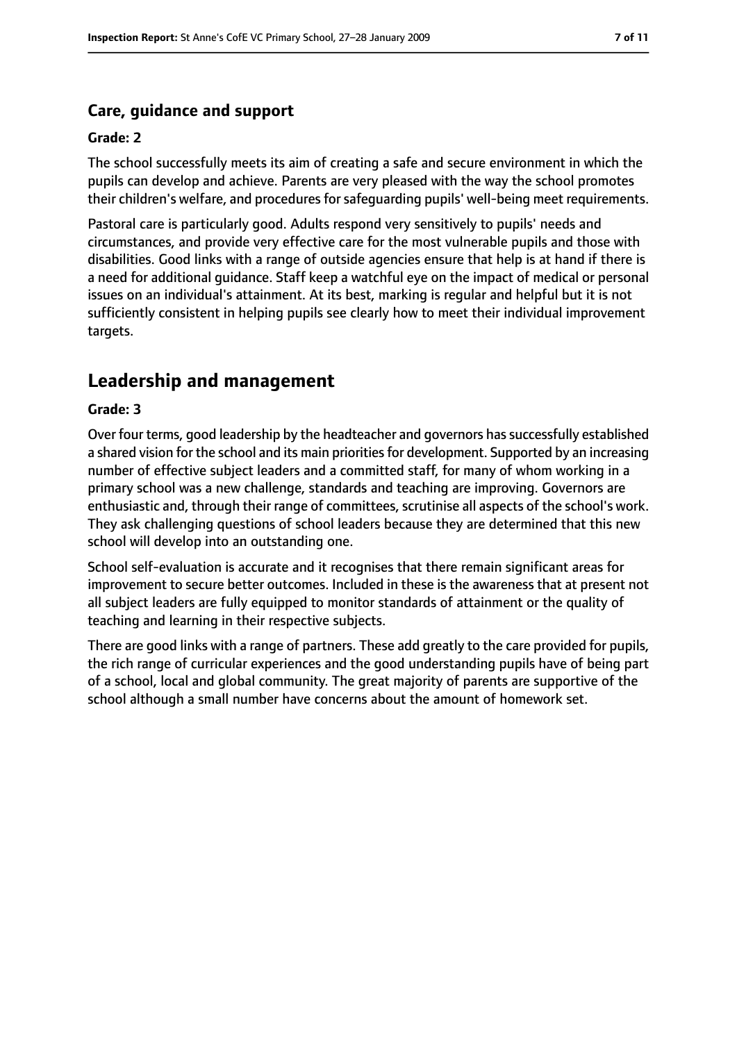## **Care, guidance and support**

#### **Grade: 2**

The school successfully meets its aim of creating a safe and secure environment in which the pupils can develop and achieve. Parents are very pleased with the way the school promotes their children's welfare, and procedures for safequarding pupils' well-being meet requirements.

Pastoral care is particularly good. Adults respond very sensitively to pupils' needs and circumstances, and provide very effective care for the most vulnerable pupils and those with disabilities. Good links with a range of outside agencies ensure that help is at hand if there is a need for additional guidance. Staff keep a watchful eye on the impact of medical or personal issues on an individual's attainment. At its best, marking is regular and helpful but it is not sufficiently consistent in helping pupils see clearly how to meet their individual improvement targets.

# **Leadership and management**

#### **Grade: 3**

Over four terms, good leadership by the headteacher and governors has successfully established a shared vision for the school and its main priorities for development. Supported by an increasing number of effective subject leaders and a committed staff, for many of whom working in a primary school was a new challenge, standards and teaching are improving. Governors are enthusiastic and, through their range of committees, scrutinise all aspects of the school's work. They ask challenging questions of school leaders because they are determined that this new school will develop into an outstanding one.

School self-evaluation is accurate and it recognises that there remain significant areas for improvement to secure better outcomes. Included in these is the awareness that at present not all subject leaders are fully equipped to monitor standards of attainment or the quality of teaching and learning in their respective subjects.

There are good links with a range of partners. These add greatly to the care provided for pupils, the rich range of curricular experiences and the good understanding pupils have of being part of a school, local and global community. The great majority of parents are supportive of the school although a small number have concerns about the amount of homework set.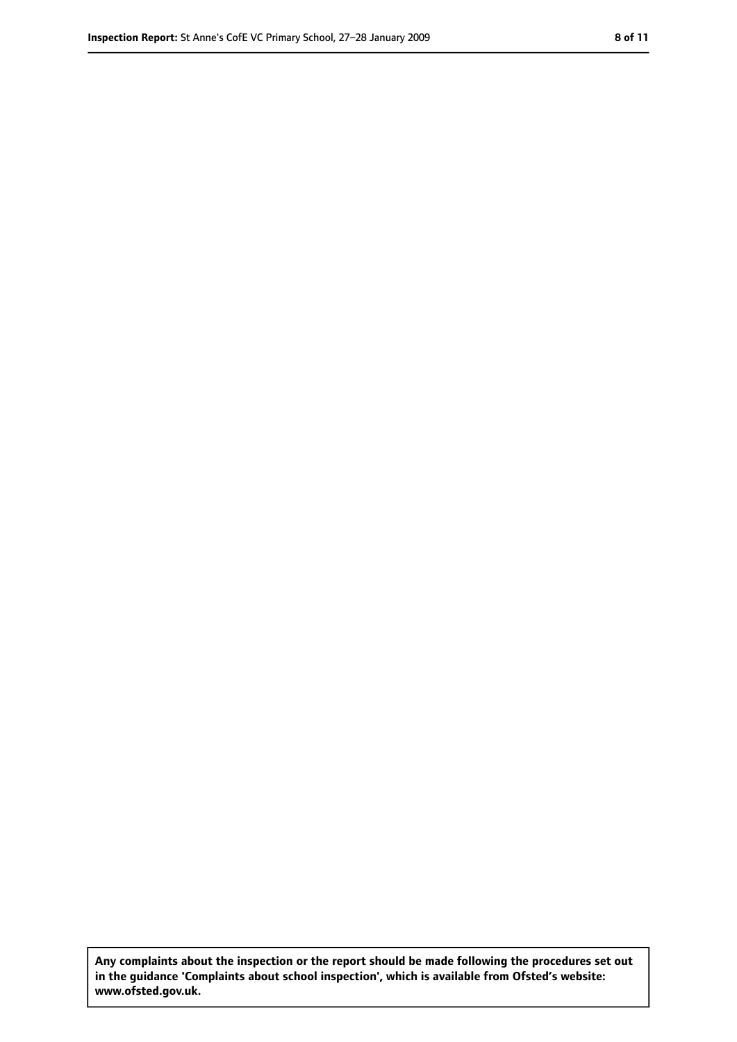**Any complaints about the inspection or the report should be made following the procedures set out in the guidance 'Complaints about school inspection', which is available from Ofsted's website: www.ofsted.gov.uk.**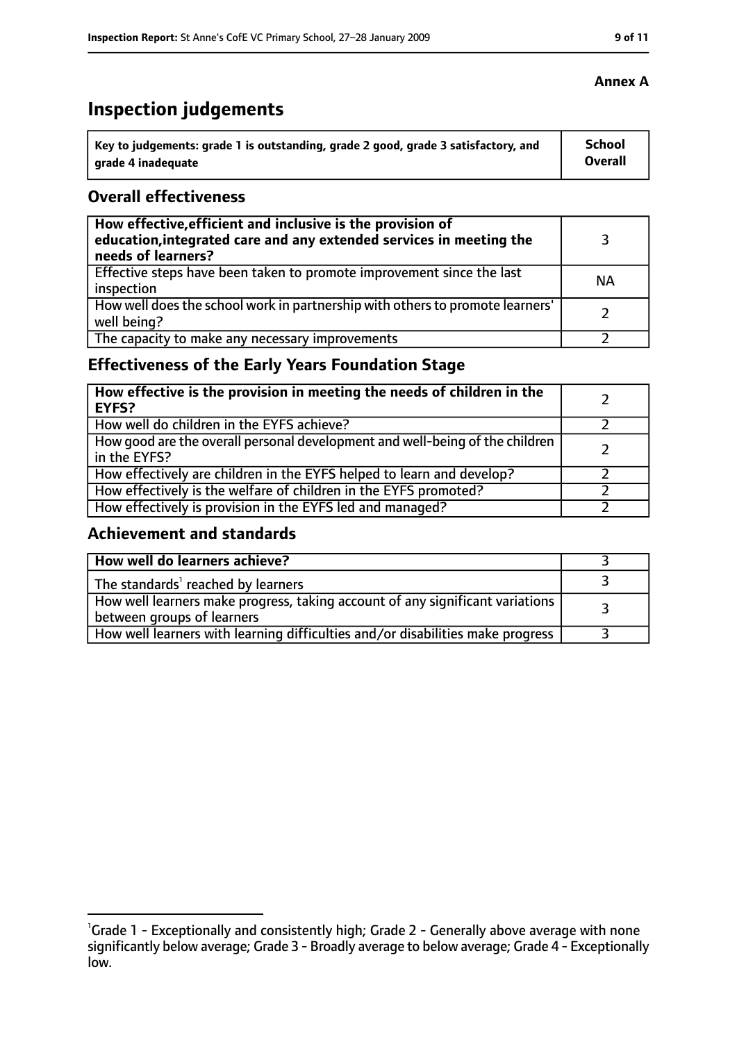# **Inspection judgements**

| Key to judgements: grade 1 is outstanding, grade 2 good, grade 3 satisfactory, and | School  |
|------------------------------------------------------------------------------------|---------|
| arade 4 inadequate                                                                 | Overall |

## **Overall effectiveness**

| How effective, efficient and inclusive is the provision of<br>education, integrated care and any extended services in meeting the<br>needs of learners? |           |
|---------------------------------------------------------------------------------------------------------------------------------------------------------|-----------|
| Effective steps have been taken to promote improvement since the last<br>inspection                                                                     | <b>NA</b> |
| How well does the school work in partnership with others to promote learners'<br>well being?                                                            |           |
| The capacity to make any necessary improvements                                                                                                         |           |

# **Effectiveness of the Early Years Foundation Stage**

| How effective is the provision in meeting the needs of children in the<br><b>EYFS?</b>       |  |
|----------------------------------------------------------------------------------------------|--|
| How well do children in the EYFS achieve?                                                    |  |
| How good are the overall personal development and well-being of the children<br>in the EYFS? |  |
| How effectively are children in the EYFS helped to learn and develop?                        |  |
| How effectively is the welfare of children in the EYFS promoted?                             |  |
| How effectively is provision in the EYFS led and managed?                                    |  |

## **Achievement and standards**

| How well do learners achieve?                                                                               |  |
|-------------------------------------------------------------------------------------------------------------|--|
| The standards <sup>1</sup> reached by learners                                                              |  |
| How well learners make progress, taking account of any significant variations<br>between groups of learners |  |
| How well learners with learning difficulties and/or disabilities make progress                              |  |

#### **Annex A**

<sup>&</sup>lt;sup>1</sup>Grade 1 - Exceptionally and consistently high; Grade 2 - Generally above average with none significantly below average; Grade 3 - Broadly average to below average; Grade 4 - Exceptionally low.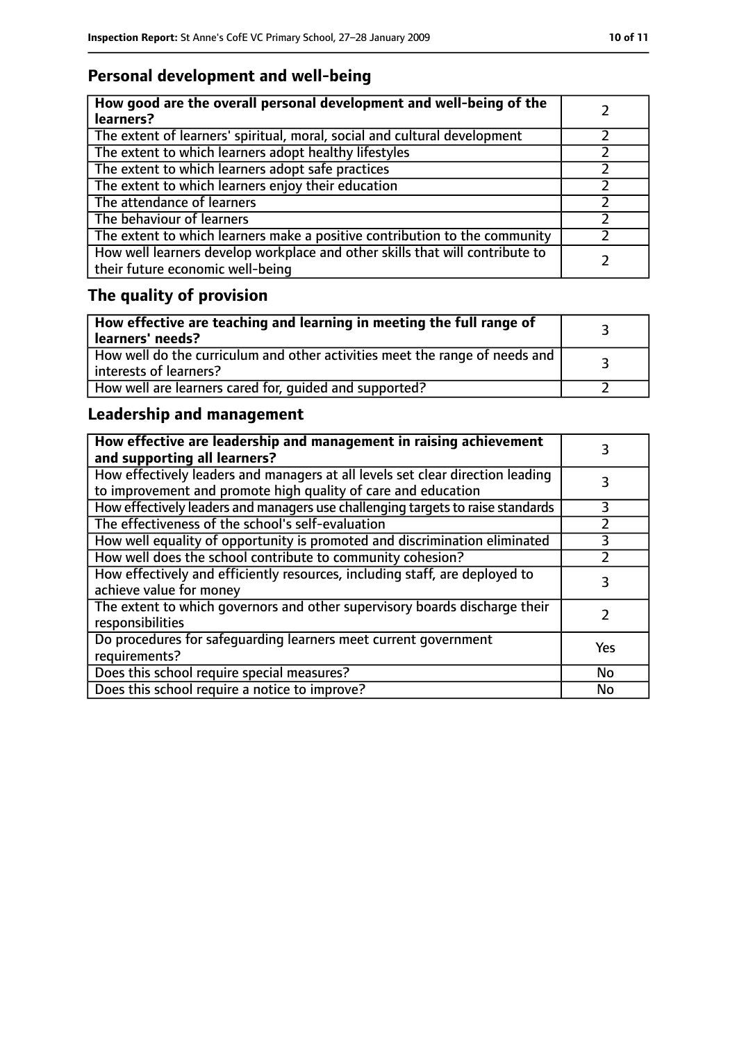# **Personal development and well-being**

| How good are the overall personal development and well-being of the<br>learners?                                 |  |
|------------------------------------------------------------------------------------------------------------------|--|
| The extent of learners' spiritual, moral, social and cultural development                                        |  |
| The extent to which learners adopt healthy lifestyles                                                            |  |
| The extent to which learners adopt safe practices                                                                |  |
| The extent to which learners enjoy their education                                                               |  |
| The attendance of learners                                                                                       |  |
| The behaviour of learners                                                                                        |  |
| The extent to which learners make a positive contribution to the community                                       |  |
| How well learners develop workplace and other skills that will contribute to<br>their future economic well-being |  |

# **The quality of provision**

| How effective are teaching and learning in meeting the full range of<br>learners' needs?                |  |
|---------------------------------------------------------------------------------------------------------|--|
| How well do the curriculum and other activities meet the range of needs and<br>  interests of learners? |  |
| How well are learners cared for, quided and supported?                                                  |  |

# **Leadership and management**

| How effective are leadership and management in raising achievement<br>and supporting all learners?                                              |     |
|-------------------------------------------------------------------------------------------------------------------------------------------------|-----|
| How effectively leaders and managers at all levels set clear direction leading<br>to improvement and promote high quality of care and education |     |
| How effectively leaders and managers use challenging targets to raise standards                                                                 | 3   |
| The effectiveness of the school's self-evaluation                                                                                               |     |
| How well equality of opportunity is promoted and discrimination eliminated                                                                      |     |
| How well does the school contribute to community cohesion?                                                                                      |     |
| How effectively and efficiently resources, including staff, are deployed to<br>achieve value for money                                          | 3   |
| The extent to which governors and other supervisory boards discharge their<br>responsibilities                                                  |     |
| Do procedures for safequarding learners meet current government<br>requirements?                                                                | Yes |
| Does this school require special measures?                                                                                                      | No  |
| Does this school require a notice to improve?                                                                                                   | No  |